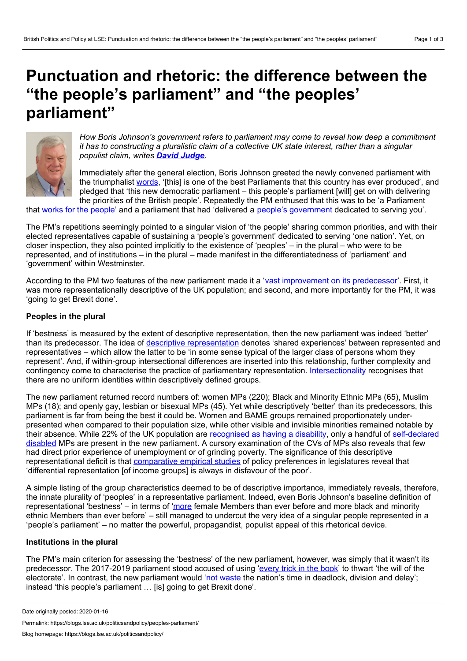# <span id="page-0-0"></span>**Punctuation and rhetoric: the difference between the "the people's parliament" and "the peoples' parliament"**



*How Boris Johnson's government refers to parliament may come to reveal how deep a commitment it has to constructing a pluralistic claim of a collective UK state interest, rather than a singular populist claim, writes David [Judge](#page-0-0).*

Immediately after the general election, Boris Johnson greeted the newly convened parliament with the triumphalist [words,](https://hansard.parliament.uk/commons/2019-12-17/debates/4C432B8B-C8BE-411E-9A04-2A9A8AC283FB/ElectionOfSpeaker) '[this] is one of the best Parliaments that this country has ever produced', and pledged that 'this new democratic parliament – this people's parliament [will] get on with delivering the priorities of the British people'. Repeatedly the PM enthused that this was to be 'a Parliament

that works for the [people](https://www.gov.uk/government/speeches/pm-statement-in-downing-street-13-december-2019)' and a parliament that had 'delivered a people's [government](https://www.gov.uk/government/news/prime-ministers-new-years-message-31-december-2019) dedicated to serving you'.

The PM's repetitions seemingly pointed to a singular vision of 'the people' sharing common priorities, and with their elected representatives capable of sustaining a 'people's government' dedicated to serving 'one nation'. Yet, on closer inspection, they also pointed implicitly to the existence of 'peoples' – in the plural – who were to be represented, and of institutions – in the plural – made manifest in the differentiatedness of 'parliament' and 'government' within Westminster.

According to the PM two features of the new parliament made it a 'vast [improvement](https://hansard.parliament.uk/commons/2019-12-17/debates/4C432B8B-C8BE-411E-9A04-2A9A8AC283FB/ElectionOfSpeaker) on its predecessor'. First, it was more representationally descriptive of the UK population; and second, and more importantly for the PM, it was 'going to get Brexit done'.

## **Peoples in the plural**

If 'bestness' is measured by the extent of descriptive representation, then the new parliament was indeed 'better' than its predecessor. The idea of descriptive [representation](https://www.jstor.org/stable/2647821?seq=1) denotes 'shared experiences' between represented and representatives – which allow the latter to be 'in some sense typical of the larger class of persons whom they represent'. And, if within-group intersectional differences are inserted into this relationship, further complexity and contingency come to characterise the practice of parliamentary representation. [Intersectionality](https://journals.sagepub.com/doi/full/10.1177/0263395716684527) recognises that there are no uniform identities within descriptively defined groups.

The new parliament returned record numbers of: women MPs (220); Black and Minority Ethnic MPs (65), Muslim MPs (18); and openly gay, lesbian or bisexual MPs (45). Yet while descriptively 'better' than its predecessors, this parliament is far from being the best it could be. Women and BAME groups remained proportionately under presented when compared to their population size, while other visible and invisible minorities remained notable by their absence. While 22% of the UK population are [recognised](https://assets.publishing.service.gov.uk/government/uploads/system/uploads/attachment_data/file/692771/family-resources-survey-2016-17.pdf) as having a disability, only a handful of [self-declared](https://www.disabilitynewsservice.com/election-post-mortem-number-of-disabled-mps-may-have-fallen-to-just-five/) disabled MPs are present in the new parliament. A cursory examination of the CVs of MPs also reveals that few had direct prior experience of unemployment or of grinding poverty. The significance of this descriptive representational deficit is that [comparative](https://www.tandfonline.com/doi/abs/10.1080/00344893.2012.653238) empirical studies of policy preferences in legislatures reveal that 'differential representation [of income groups] is always in disfavour of the poor'.

A simple listing of the group characteristics deemed to be of descriptive importance, immediately reveals, therefore, the innate plurality of 'peoples' in a representative parliament. Indeed, even Boris Johnson's baseline definition of representational 'bestness' – in terms of '[more](https://hansard.parliament.uk/commons/2019-12-17/debates/4C432B8B-C8BE-411E-9A04-2A9A8AC283FB/ElectionOfSpeaker) female Members than ever before and more black and minority ethnic Members than ever before' – still managed to undercut the very idea of a singular people represented in a 'people's parliament' – no matter the powerful, propagandist, populist appeal of this rhetorical device.

## **Institutions in the plural**

The PM's main criterion for assessing the 'bestness' of the new parliament, however, was simply that it wasn't its predecessor. The 2017-2019 parliament stood accused of using ['every](https://www.gov.uk/government/news/prime-ministers-new-years-message-31-december-2019) trick in the book' to thwart 'the will of the electorate'. In contrast, the new parliament would 'not [waste](https://hansard.parliament.uk/commons/2019-12-17/debates/4C432B8B-C8BE-411E-9A04-2A9A8AC283FB/ElectionOfSpeaker) the nation's time in deadlock, division and delay'; instead 'this people's parliament … [is] going to get Brexit done'.

Permalink: https://blogs.lse.ac.uk/politicsandpolicy/peoples-parliament/

Date originally posted: 2020-01-16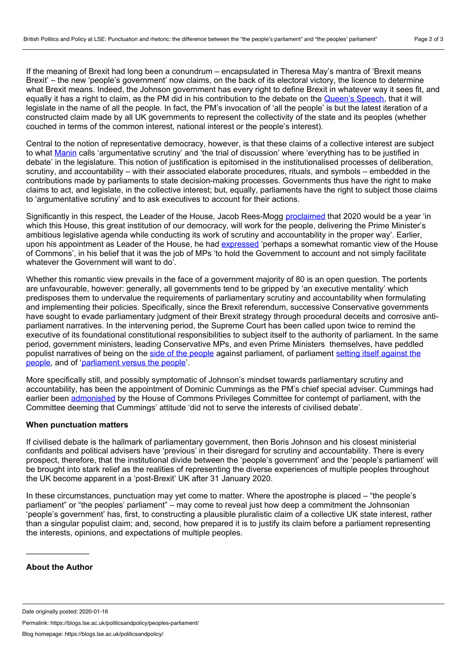If the meaning of Brexit had long been a conundrum – encapsulated in Theresa May's mantra of 'Brexit means Brexit' – the new 'people's government' now claims, on the back of its electoral victory, the licence to determine what Brexit means. Indeed, the Johnson government has every right to define Brexit in whatever way it sees fit, and equally it has a right to claim, as the PM did in his contribution to the debate on the [Queen's](https://hansard.parliament.uk/commons/2019-12-19/debates/66EEE94D-F200-4889-90AC-5EE34753AC3E/DebateOnTheAddress) Speech, that it will legislate in the name of all the people. In fact, the PM's invocation of 'all the people' is but the latest iteration of a constructed claim made by all UK governments to represent the collectivity of the state and its peoples (whether couched in terms of the common interest, national interest or the people's interest).

Central to the notion of representative democracy, however, is that these claims of a collective interest are subject to what [Manin](https://www.cambridge.org/core/books/principles-of-representative-government/B5F086D557F0A0995D6FEB2730C29EC9) calls 'argumentative scrutiny' and 'the trial of discussion' where 'everything has to be justified in debate' in the legislature. This notion of justification is epitomised in the institutionalised processes of deliberation, scrutiny, and accountability – with their associated elaborate procedures, rituals, and symbols – embedded in the contributions made by parliaments to state decision-making processes. Governments thus have the right to make claims to act, and legislate, in the collective interest; but, equally, parliaments have the right to subject those claims to 'argumentative scrutiny' and to ask executives to account for their actions.

Significantly in this respect, the Leader of the House, Jacob Rees-Mogg [proclaimed](https://hansard.parliament.uk/Commons/2019-12-19/debates/35918BCE-FD19-4C65-8E41-16EEDFFB9D6B/BusinessOfTheHouse#contribution-73A2DEF9-091C-4B12-9E93-3FBBD5106896) that 2020 would be a year 'in which this House, this great institution of our democracy, will work for the people, delivering the Prime Minister's ambitious legislative agenda while conducting its work of scrutiny and accountability in the proper way'. Earlier, upon his appointment as Leader of the House, he had [expressed](https://hansard.parliament.uk/Commons/2019-07-25/debates/EEAC533E-0371-4186-A067-8A097148C1A7/BusinessOfTheHouse?highlight=andrea%20leadsom%20leader%20house#contribution-E81055E7-F67C-49B0-BF5C-53238F5FE6E2) 'perhaps a somewhat romantic view of the House of Commons', in his belief that it was the job of MPs 'to hold the Government to account and not simply facilitate whatever the Government will want to do'.

Whether this romantic view prevails in the face of a government majority of 80 is an open question. The portents are unfavourable, however: generally, all governments tend to be gripped by 'an executive mentality' which predisposes them to undervalue the requirements of parliamentary scrutiny and accountability when formulating and implementing their policies. Specifically, since the Brexit referendum, successive Conservative governments have sought to evade parliamentary judgment of their Brexit strategy through procedural deceits and corrosive anti parliament narratives. In the intervening period, the Supreme Court has been called upon twice to remind the executive of its foundational constitutional responsibilities to subject itself to the authority of parliament. In the same period, government ministers, leading Conservative MPs, and even Prime Ministers themselves, have peddled populist narratives of being on the side of the [people](https://www.gov.uk/government/speeches/pm-statement-on-brexit-20-march-2019) against [parliament,](https://hansard.parliament.uk/Commons/2019-09-03/debates/C4B0BE00-2E57-4FA4-8958-CD6F37711635/EuropeanUnion(Withdrawal)) of parliament setting itself against the people, and of '[parliament](https://www.telegraph.co.uk/politics/2019/09/24/judgement-will-greatly-assist-remainers-seizing-control-government/) versus the people'.

More specifically still, and possibly symptomatic of Johnson's mindset towards parliamentary scrutiny and accountability, has been the appointment of Dominic Cummings as the PM's chief special adviser. Cummings had earlier been [admonished](https://publications.parliament.uk/pa/cm201719/cmselect/cmprivi/1490/1490.pdf) by the House of Commons Privileges Committee for contempt of parliament, with the Committee deeming that Cummings' attitude 'did not to serve the interests of civilised debate'.

#### **When punctuation matters**

If civilised debate is the hallmark of parliamentary government, then Boris Johnson and his closest ministerial confidants and political advisers have 'previous' in their disregard for scrutiny and accountability. There is every prospect, therefore, that the institutional divide between the 'people's government' and the 'people's parliament' will be brought into stark relief as the realities of representing the diverse experiences of multiple peoples throughout the UK become apparent in a 'post-Brexit' UK after 31 January 2020.

In these circumstances, punctuation may yet come to matter. Where the apostrophe is placed – "the people's parliament" or "the peoples' parliament" – may come to reveal just how deep a commitment the Johnsonian 'people's government' has, first, to constructing a plausible pluralistic claim of a collective UK state interest, rather than a singular populist claim; and, second, how prepared it is to justify its claim before a parliament representing the interests, opinions, and expectations of multiple peoples.

#### **About the Author**

\_\_\_\_\_\_\_\_\_\_\_\_\_\_

Permalink: https://blogs.lse.ac.uk/politicsandpolicy/peoples-parliament/

Date originally posted: 2020-01-16